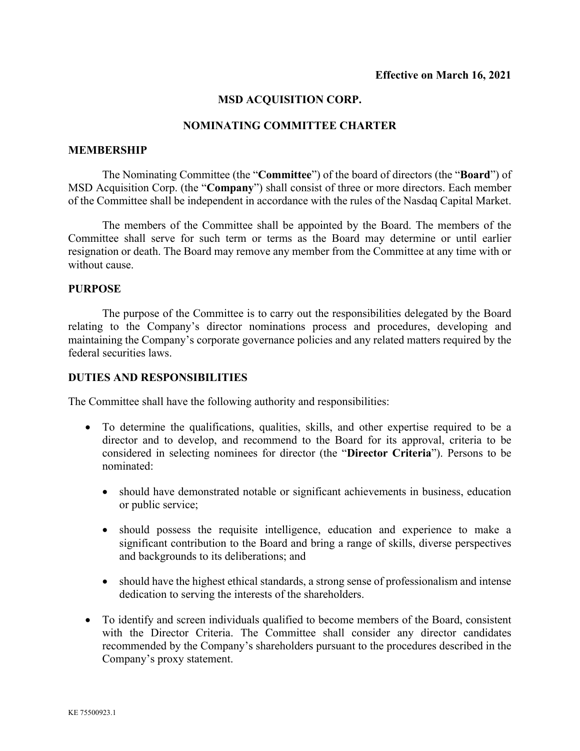## **MSD ACQUISITION CORP.**

## **NOMINATING COMMITTEE CHARTER**

### **MEMBERSHIP**

The Nominating Committee (the "**Committee**") of the board of directors (the "**Board**") of MSD Acquisition Corp. (the "**Company**") shall consist of three or more directors. Each member of the Committee shall be independent in accordance with the rules of the Nasdaq Capital Market.

The members of the Committee shall be appointed by the Board. The members of the Committee shall serve for such term or terms as the Board may determine or until earlier resignation or death. The Board may remove any member from the Committee at any time with or without cause.

### **PURPOSE**

The purpose of the Committee is to carry out the responsibilities delegated by the Board relating to the Company's director nominations process and procedures, developing and maintaining the Company's corporate governance policies and any related matters required by the federal securities laws.

# **DUTIES AND RESPONSIBILITIES**

The Committee shall have the following authority and responsibilities:

- To determine the qualifications, qualities, skills, and other expertise required to be a director and to develop, and recommend to the Board for its approval, criteria to be considered in selecting nominees for director (the "**Director Criteria**"). Persons to be nominated:
	- should have demonstrated notable or significant achievements in business, education or public service;
	- should possess the requisite intelligence, education and experience to make a significant contribution to the Board and bring a range of skills, diverse perspectives and backgrounds to its deliberations; and
	- should have the highest ethical standards, a strong sense of professionalism and intense dedication to serving the interests of the shareholders.
- To identify and screen individuals qualified to become members of the Board, consistent with the Director Criteria. The Committee shall consider any director candidates recommended by the Company's shareholders pursuant to the procedures described in the Company's proxy statement.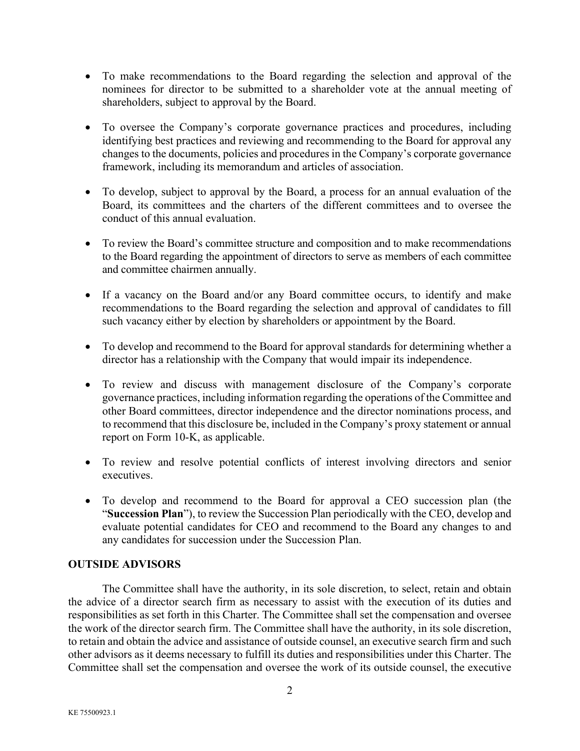- To make recommendations to the Board regarding the selection and approval of the nominees for director to be submitted to a shareholder vote at the annual meeting of shareholders, subject to approval by the Board.
- To oversee the Company's corporate governance practices and procedures, including identifying best practices and reviewing and recommending to the Board for approval any changes to the documents, policies and procedures in the Company's corporate governance framework, including its memorandum and articles of association.
- To develop, subject to approval by the Board, a process for an annual evaluation of the Board, its committees and the charters of the different committees and to oversee the conduct of this annual evaluation.
- To review the Board's committee structure and composition and to make recommendations to the Board regarding the appointment of directors to serve as members of each committee and committee chairmen annually.
- If a vacancy on the Board and/or any Board committee occurs, to identify and make recommendations to the Board regarding the selection and approval of candidates to fill such vacancy either by election by shareholders or appointment by the Board.
- To develop and recommend to the Board for approval standards for determining whether a director has a relationship with the Company that would impair its independence.
- To review and discuss with management disclosure of the Company's corporate governance practices, including information regarding the operations of the Committee and other Board committees, director independence and the director nominations process, and to recommend that this disclosure be, included in the Company's proxy statement or annual report on Form 10-K, as applicable.
- To review and resolve potential conflicts of interest involving directors and senior executives.
- To develop and recommend to the Board for approval a CEO succession plan (the "**Succession Plan**"), to review the Succession Plan periodically with the CEO, develop and evaluate potential candidates for CEO and recommend to the Board any changes to and any candidates for succession under the Succession Plan.

# **OUTSIDE ADVISORS**

The Committee shall have the authority, in its sole discretion, to select, retain and obtain the advice of a director search firm as necessary to assist with the execution of its duties and responsibilities as set forth in this Charter. The Committee shall set the compensation and oversee the work of the director search firm. The Committee shall have the authority, in its sole discretion, to retain and obtain the advice and assistance of outside counsel, an executive search firm and such other advisors as it deems necessary to fulfill its duties and responsibilities under this Charter. The Committee shall set the compensation and oversee the work of its outside counsel, the executive